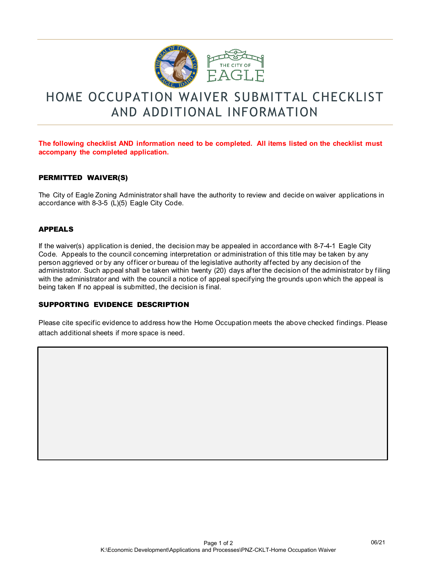

# HOME OCCUPATION WAIVER SUBMITTAL CHECKLIST AND ADDITIONAL INFORMATION

### **The following checklist AND information need to be completed. All items listed on the checklist must accompany the completed application.**

#### PERMITTED WAIVER(S)

The City of Eagle Zoning Administrator shall have the authority to review and decide on waiver applications in accordance with 8-3-5 (L)(5) Eagle City Code.

#### APPEALS

If the waiver(s) application is denied, the decision may be appealed in accordance with 8-7-4-1 Eagle City Code. Appeals to the council concerning interpretation or administration of this title may be taken by any person aggrieved or by any officer or bureau of the legislative authority affected by any decision of the administrator. Such appeal shall be taken within twenty (20) days after the decision of the administrator by filing with the administrator and with the council a notice of appeal specifying the grounds upon which the appeal is being taken If no appeal is submitted, the decision is final.

#### SUPPORTING EVIDENCE DESCRIPTION

Please cite specific evidence to address how the Home Occupation meets the above checked findings. Please attach additional sheets if more space is need.